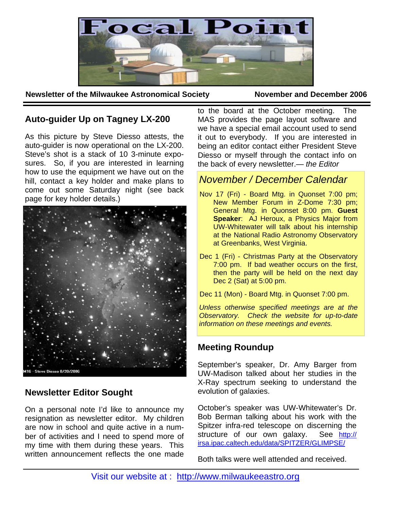

**Newsletter of the Milwaukee Astronomical Society November and December 2006** 

# **Auto-guider Up on Tagney LX-200**

As this picture by Steve Diesso attests, the auto-guider is now operational on the LX-200. Steve's shot is a stack of 10 3-minute exposures. So, if you are interested in learning how to use the equipment we have out on the hill, contact a key holder and make plans to come out some Saturday night (see back page for key holder details.)



16 - Steve Diesso 8/20/2006

## **Newsletter Editor Sought**

On a personal note I'd like to announce my resignation as newsletter editor. My children are now in school and quite active in a number of activities and I need to spend more of my time with them during these years. This written announcement reflects the one made

to the board at the October meeting. The MAS provides the page layout software and we have a special email account used to send it out to everybody. If you are interested in being an editor contact either President Steve Diesso or myself through the contact info on the back of every newsletter.— *the Editor* 

# *November / December Calendar*

- Nov 17 (Fri) Board Mtg. in Quonset 7:00 pm; New Member Forum in Z-Dome 7:30 pm; General Mtg. in Quonset 8:00 pm. **Guest Speaker**: AJ Heroux, a Physics Major from UW-Whitewater will talk about his internship at the National Radio Astronomy Observatory at Greenbanks, West Virginia.
- Dec 1 (Fri) Christmas Party at the Observatory 7:00 pm. If bad weather occurs on the first, then the party will be held on the next day Dec 2 (Sat) at 5:00 pm.

Dec 11 (Mon) - Board Mtg. in Quonset 7:00 pm.

*Unless otherwise specified meetings are at the Observatory. Check the website for up-to-date information on these meetings and events.* 

## **Meeting Roundup**

September's speaker, Dr. Amy Barger from UW-Madison talked about her studies in the X-Ray spectrum seeking to understand the evolution of galaxies.

October's speaker was UW-Whitewater's Dr. Bob Berman talking about his work with the Spitzer infra-red telescope on discerning the structure of our own galaxy. See http:// irsa.ipac.caltech.edu/data/SPITZER/GLIMPSE/

Both talks were well attended and received.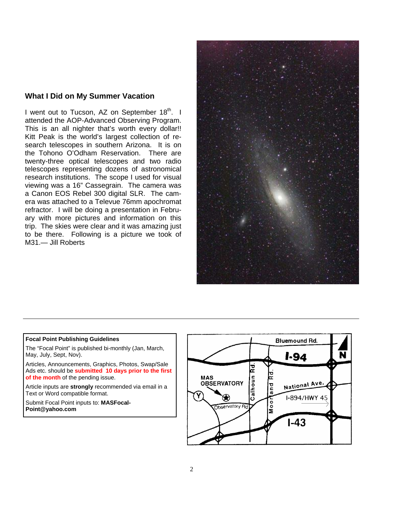### **What I Did on My Summer Vacation**

I went out to Tucson, AZ on September 18<sup>th</sup>. I attended the AOP-Advanced Observing Program. This is an all nighter that's worth every dollar!! Kitt Peak is the world's largest collection of research telescopes in southern Arizona. It is on the Tohono O'Odham Reservation. There are twenty-three optical telescopes and two radio telescopes representing dozens of astronomical research institutions. The scope I used for visual viewing was a 16" Cassegrain. The camera was a Canon EOS Rebel 300 digital SLR. The camera was attached to a Televue 76mm apochromat refractor. I will be doing a presentation in February with more pictures and information on this trip. The skies were clear and it was amazing just to be there. Following is a picture we took of M31.— Jill Roberts



#### **Focal Point Publishing Guidelines**

The "Focal Point" is published bi-monthly (Jan, March, May, July, Sept, Nov).

Articles, Announcements, Graphics, Photos, Swap/Sale Ads etc. should be **submitted 10 days prior to the first of the month** of the pending issue.

Article inputs are **strongly** recommended via email in a Text or Word compatible format.

Submit Focal Point inputs to: **MASFocal-Point@yahoo.com**